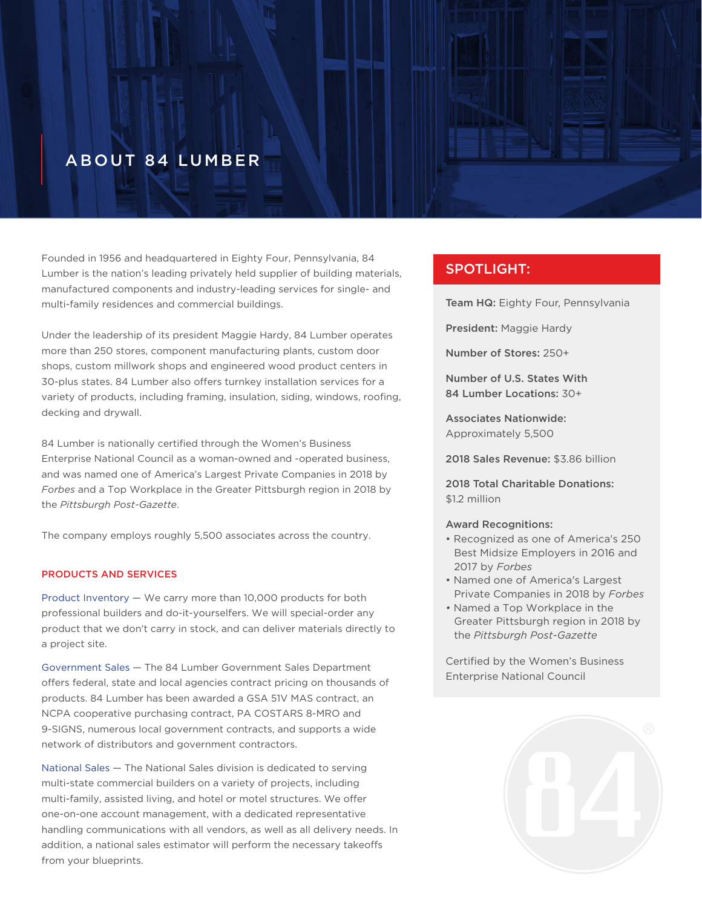# **ABOUT 84 LUMBER**

Founded in 1956 and headquartered in Eighty Four, Pennsylvania, 84 Lumber is the nation's leading privately held supplier of building materials, manufactured components and industry-leading services for single- and multi-family residences and commercial buildings.

Under the leadership of its president Maggie Hardy, 84 Lumber operates more than 250 stores, component manufacturing plants, custom door shops, custom millwork shops and engineered wood product centers in 30-plus states. 84 Lumber also offers turnkey installation services for a variety of products, including framing, insulation, siding, windows, roofing, decking and drywall.

84 Lumber is nationally certified through the Women's Business Enterprise National Council as a woman-owned and -operated business, and was named one of America's Largest Private Companies in 2018 by *Forbes* and a Top Workplace in the Greater Pittsburgh region in 2018 by the *Pittsburgh Post-Gazette*.

The company employs roughly 5,500 associates across the country.

### PRODUCTS AND SERVICES

Product Inventory — We carry more than 10,000 products for both professional builders and do-it-yourselfers. We will special-order any product that we don't carry in stock, and can deliver materials directly to a project site.

Government Sales — The 84 Lumber Government Sales Department offers federal, state and local agencies contract pricing on thousands of products. 84 Lumber has been awarded a GSA 51V MAS contract, an NCPA cooperative purchasing contract, PA COSTARS 8-MRO and 9-SIGNS, numerous local government contracts, and supports a wide network of distributors and government contractors.

National Sales — The National Sales division is dedicated to serving multi-state commercial builders on a variety of projects, including multi-family, assisted living, and hotel or motel structures. We offer one-on-one account management, with a dedicated representative handling communications with all vendors, as well as all delivery needs. In addition, a national sales estimator will perform the necessary takeoffs from your blueprints.

## SPOTLIGHT:

Team HQ: Eighty Four, Pennsylvania

President: Maggie Hardy

Number of Stores: 250+

Number of U.S. States With 84 Lumber Locations: 30+

Associates Nationwide: Approximately 5,500

2018 Sales Revenue: \$3.86 billion

2018 Total Charitable Donations: \$1.2 million

#### Award Recognitions:

- Recognized as one of America's 250 Best Midsize Employers in 2016 and 2017 by *Forbes*
- Named one of America's Largest Private Companies in 2018 by *Forbes*
- Named a Top Workplace in the Greater Pittsburgh region in 2018 by the *Pittsburgh Post-Gazette*

Certified by the Women's Business Enterprise National Council